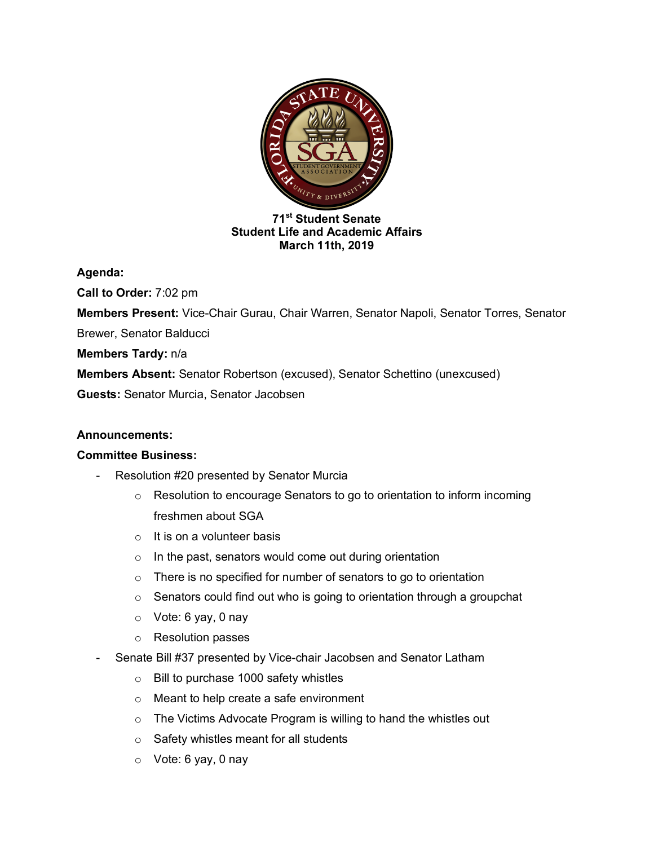

## **71st Student Senate Student Life and Academic Affairs March 11th, 2019**

## **Agenda:**

**Call to Order:** 7:02 pm **Members Present:** Vice-Chair Gurau, Chair Warren, Senator Napoli, Senator Torres, Senator Brewer, Senator Balducci **Members Tardy:** n/a **Members Absent:** Senator Robertson (excused), Senator Schettino (unexcused) **Guests:** Senator Murcia, Senator Jacobsen

## **Announcements:**

## **Committee Business:**

- Resolution #20 presented by Senator Murcia
	- o Resolution to encourage Senators to go to orientation to inform incoming freshmen about SGA
	- $\circ$  It is on a volunteer basis
	- $\circ$  In the past, senators would come out during orientation
	- o There is no specified for number of senators to go to orientation
	- o Senators could find out who is going to orientation through a groupchat
	- o Vote: 6 yay, 0 nay
	- o Resolution passes
- Senate Bill #37 presented by Vice-chair Jacobsen and Senator Latham
	- o Bill to purchase 1000 safety whistles
	- o Meant to help create a safe environment
	- o The Victims Advocate Program is willing to hand the whistles out
	- o Safety whistles meant for all students
	- o Vote: 6 yay, 0 nay